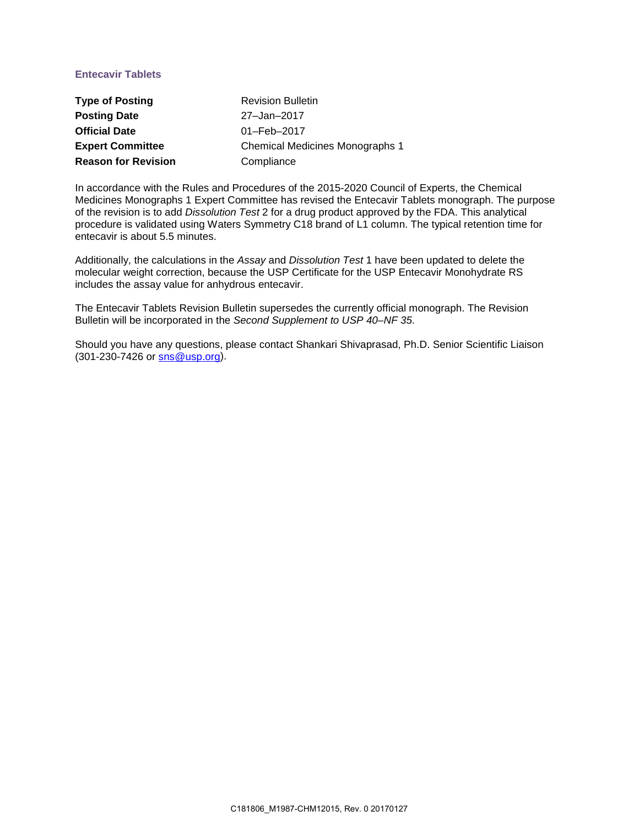# **Entecavir Tablets**

| <b>Type of Posting</b>     | <b>Revision Bulletin</b>               |
|----------------------------|----------------------------------------|
| <b>Posting Date</b>        | 27-Jan-2017                            |
| <b>Official Date</b>       | 01-Feb-2017                            |
| <b>Expert Committee</b>    | <b>Chemical Medicines Monographs 1</b> |
| <b>Reason for Revision</b> | Compliance                             |

In accordance with the Rules and Procedures of the 2015-2020 Council of Experts, the Chemical Medicines Monographs 1 Expert Committee has revised the Entecavir Tablets monograph. The purpose of the revision is to add *Dissolution Test* 2 for a drug product approved by the FDA. This analytical procedure is validated using Waters Symmetry C18 brand of L1 column. The typical retention time for entecavir is about 5.5 minutes.

Additionally, the calculations in the *Assay* and *Dissolution Test* 1 have been updated to delete the molecular weight correction, because the USP Certificate for the USP Entecavir Monohydrate RS includes the assay value for anhydrous entecavir.

The Entecavir Tablets Revision Bulletin supersedes the currently official monograph. The Revision Bulletin will be incorporated in the *Second Supplement to USP 40–NF 35*.

Should you have any questions, please contact Shankari Shivaprasad, Ph.D. Senior Scientific Liaison (301-230-7426 or [sns@usp.org\)](mailto:sns@usp.org).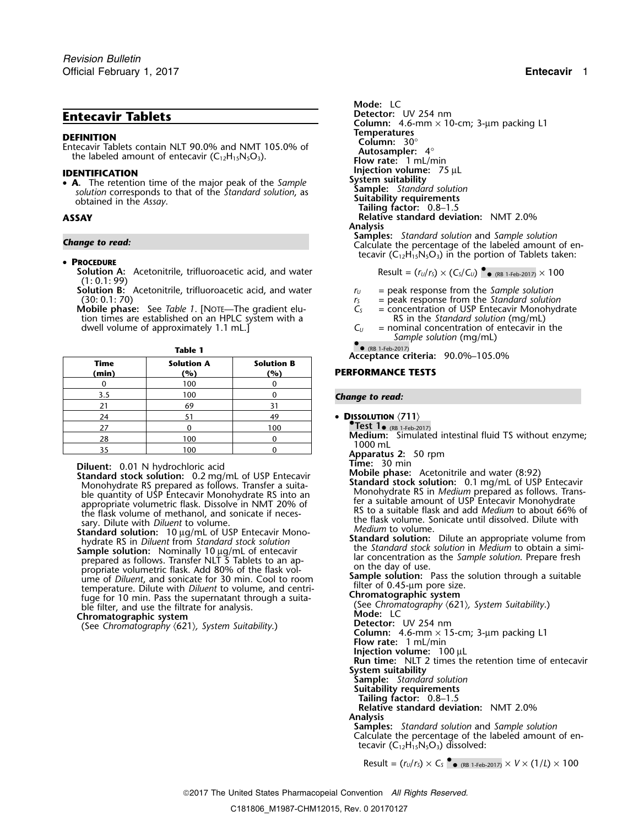**TEMITION**<br> **Entecavir Tablets contain NLT 90.0% and NMT 105.0% of <b>Autosampler:** 30°<br>
the labeled amount of entecavir (C<sub>12</sub>H<sub>15</sub>N<sub>5</sub>O<sub>3</sub>). **Flow rate:** 1 mL/min

• **A**. The retention time of the major peak of the Sample<br>solution corresponds to that of the Standard solution, as **Sample:** Standard solution<br>obtained in the Assay. **Sample:** Standard solution, as **Sample:** Standard solu

## •**PROCEDURE**

- **Solution A:** Acetonitrile, trifluoroacetic acid, and water  $\overline{R}$ (1: 0.1: 99)
- **Solution B:** Acetonitrile, trifluoroacetic acid, and water  $r_U =$  peak response from the *Sample solution*<br>(30: 0.1: 70)  $r_S =$  peak response from the *Standard solutio*
- **Mobile phase:** See *Table 1*. [NOTE—The gradient elution times are established on an HPLC system with a  $\begin{array}{ccc}\n & & \text{RS in the Standard solution (mg/mL)} \\
\text{dwell volume of approximately 1.1 mL}\n\end{array}$ dwell volume of approximately 1.1 mL.]

| Table 1 |   |
|---------|---|
|         | - |

|               |                                     |                          | Acceptance criteria: 90.0%-105.0%                            |
|---------------|-------------------------------------|--------------------------|--------------------------------------------------------------|
| Time<br>(min) | <b>Solution A</b><br>$\binom{0}{0}$ | <b>Solution B</b><br>(%) | <b>PERFORMANCE TESTS</b>                                     |
|               | 100                                 |                          |                                                              |
| 3.5           | 100                                 |                          | <b>Change to read:</b>                                       |
|               | 69                                  | 31                       |                                                              |
| 24            |                                     | 49                       | • DISSOLUTION $\langle 711 \rangle$                          |
|               |                                     | 100                      | Test $1_{\bullet}$ (RB 1-Feb-2017)                           |
| 28            | 100                                 |                          | <b>Medium:</b> Simulated intestinal fluid TS without enzyme; |
|               | 100                                 |                          | $1000$ mL                                                    |
|               |                                     |                          | Apparatus 2: 50 rpm                                          |

Monohydrate RS prepared as follows. Transfer a suita-<br>ble quantity of USP Entecavir Monohydrate RS into an

**Sample solution:** Nominally 10 µg/mL of entecavir the *Standard stock solution* in *Medium* to obtain a simi-<br>prepared as follows. Transfer NLT 5 Tablets to an ap-<br>propriate volumetric flask. Add 80% of the flask volume, fuge for 10 min. Pass the supernatant through a suita-<br>ble filter, and use the filtrate for analysis.

(See Chromatography  $(621)$ , System Suitability.)

```
Mode: LC
Entecavir Tablets Detector: UV 254 nm
                                                        Column: 4.6-mm × 10-cm; 3-µm packing L1
IDENTIFICATION INGLET IS A LIGATION<br>• A The retention time of the major peak of the Sample System suitability
ASSAY Relative standard deviation: NMT 2.0%
                                                        Analysis<br>Samples: Standard solution and Sample solution
Samples: Standard solution and Sample solution Change to read: Calculate the percentage of the labeled amount of en-
                                                         tecavir (C_{12}H_{15}N_5O_3) in the portion of Tablets taken:
```

$$
result = (r_U/r_S) \times (C_S/C_U) \bullet_{\bullet \text{ (RB 1-Feb-2017)}} \times 100
$$

- 
- $r_s$  = peak response from the *Standard solution*<br> $C_s$  = concentration of USP Entecavir Monohydrate
- 
- *Sample solution* (mg/mL)

$$
\bullet
$$
 (RB 1-Feb-2017)

(RB 1-Feb-2017) **Acceptance criteria:** 90.0%–105.0%

## **(min) (%) (%) PERFORMANCE TESTS**

## **Change to read:**

- **DISSOLUTION**  $\langle 711 \rangle$
- -
	-

- **Diluent:** 0.01 N hydrochloric acid **Mobile in the Community of Community**<br> **Standard stock solution:** 0.2 mg/mL of USP Entecavir<br>
Mobile phase: Acetonitrile and water (8:92) **Standard stock solution:** 0.1 mg/mL of USP Ent ble quantity of USP Entectair Monohydrate RS in Medium prepared as follows. Trans-<br>ble quantity of USP Entectair Monohydrate RS into an appropriate volumetric flask. Dissolve in NMT 20% of<br>the flask volume of methanol, and
	- **Standard solution:** Dilute an appropriate volume from the *Standard stock solution* in *Medium* to obtain a simi-

(See *Chromatography* \621\*, System Suitability*.) ble filter, and use the filtrate for analysis. **Mode:** LC **Chromatography Chromatographic system** Detector: UV 254 nm<br>Column: 4.6-mm × 15-cm; 3-µm packing L1

**Flow rate:** 1 mL/min

**Injection volume:** 100 µL **Run time:** NLT 2 times the retention time of entecavir

**System suitability**

- **Sample:** *Standard solution*
- **Suitability requirements**
- **Tailing factor:** 0.8–1.5

**Relative standard deviation:** NMT 2.0% **Analysis**

**Samples:** *Standard solution* and *Sample solution* Calculate the percentage of the labeled amount of entecavir  $(C_{12}H_{15}N_5O_3)$  dissolved:

 $\textsf{Result} = (r_{\textsf{\tiny U}}/r_{\textsf{\tiny S}}) \times \textsf{C}_{\textsf{\tiny S}}$  •  $_{\textsf{RB 1-Feb-2017)}} \times V \times (1/L) \times 100$